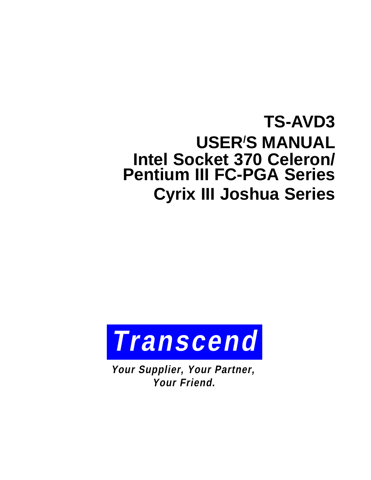## **TS-AVD3 USER/ S MANUAL Intel Socket 370 Celeron/ Pentium III FC-PGA Series Cyrix III Joshua Series**



**Your Supplier, Your Partner, Your Friend.**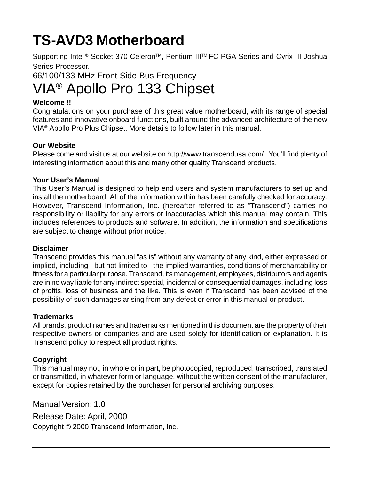# **TS-AVD3 Motherboard**

Supporting Intel<sup>®</sup> Socket 370 Celeron<sup>™</sup>, Pentium III<sup>™</sup> FC-PGA Series and Cyrix III Joshua Series Processor.

66/100/133 MHz Front Side Bus Frequency

## VIA® Apollo Pro 133 Chipset

#### **Welcome !!**

Congratulations on your purchase of this great value motherboard, with its range of special features and innovative onboard functions, built around the advanced architecture of the new VIA® Apollo Pro Plus Chipset. More details to follow later in this manual.

#### **Our Website**

Please come and visit us at our website on http://www.transcendusa.com/. You'll find plenty of interesting information about this and many other quality Transcend products.

#### **Your User's Manual**

This User's Manual is designed to help end users and system manufacturers to set up and install the motherboard. All of the information within has been carefully checked for accuracy. However, Transcend Information, Inc. (hereafter referred to as "Transcend") carries no responsibility or liability for any errors or inaccuracies which this manual may contain. This includes references to products and software. In addition, the information and specifications are subject to change without prior notice.

#### **Disclaimer**

Transcend provides this manual "as is" without any warranty of any kind, either expressed or implied, including - but not limited to - the implied warranties, conditions of merchantability or fitness for a particular purpose. Transcend, its management, employees, distributors and agents are in no way liable for any indirect special, incidental or consequential damages, including loss of profits, loss of business and the like. This is even if Transcend has been advised of the possibility of such damages arising from any defect or error in this manual or product.

#### **Trademarks**

All brands, product names and trademarks mentioned in this document are the property of their respective owners or companies and are used solely for identification or explanation. It is Transcend policy to respect all product rights.

#### **Copyright**

This manual may not, in whole or in part, be photocopied, reproduced, transcribed, translated or transmitted, in whatever form or language, without the written consent of the manufacturer, except for copies retained by the purchaser for personal archiving purposes.

Manual Version: 1.0

Release Date: April, 2000 Copyright © 2000 Transcend Information, Inc.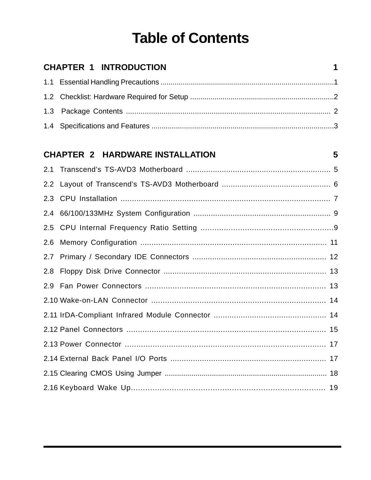## **Table of Contents**

|     | <b>CHAPTER 1 INTRODUCTION</b>          | 1  |
|-----|----------------------------------------|----|
|     |                                        |    |
|     |                                        |    |
| 1.3 |                                        |    |
|     |                                        |    |
|     | <b>CHAPTER 2 HARDWARE INSTALLATION</b> | 5  |
|     |                                        |    |
|     |                                        |    |
|     |                                        |    |
|     |                                        |    |
|     |                                        |    |
|     |                                        |    |
|     |                                        |    |
|     |                                        |    |
|     |                                        |    |
|     |                                        |    |
|     |                                        |    |
|     |                                        | 15 |
|     |                                        |    |
|     |                                        |    |
|     |                                        |    |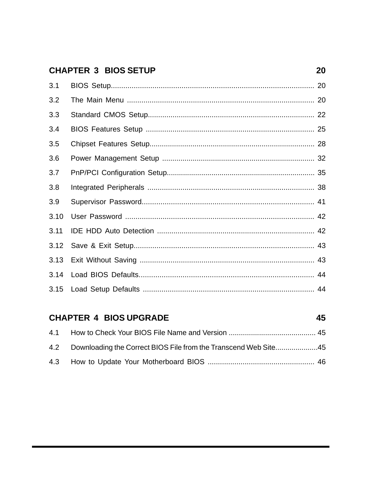### **CHAPTER 3 BIOS SETUP**

| 3.1  |  |
|------|--|
| 3.2  |  |
| 3.3  |  |
| 3.4  |  |
| 3.5  |  |
| 3.6  |  |
| 3.7  |  |
| 3.8  |  |
| 3.9  |  |
| 3.10 |  |
| 3.11 |  |
| 3.12 |  |
| 3.13 |  |
|      |  |
|      |  |

#### **CHAPTER 4 BIOS UPGRADE** 45  $4.1$  $4.2$ Downloading the Correct BIOS File from the Transcend Web Site...................45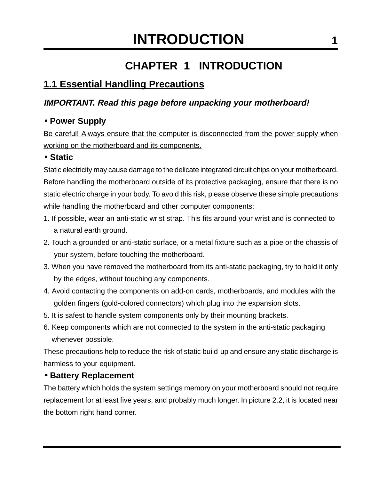## **CHAPTER 1 INTRODUCTION**

### **1.1 Essential Handling Precautions**

### **IMPORTANT. Read this page before unpacking your motherboard!**

### • **Power Supply**

Be careful! Always ensure that the computer is disconnected from the power supply when working on the motherboard and its components.

### • **Static**

Static electricity may cause damage to the delicate integrated circuit chips on your motherboard. Before handling the motherboard outside of its protective packaging, ensure that there is no static electric charge in your body. To avoid this risk, please observe these simple precautions while handling the motherboard and other computer components:

- 1. If possible, wear an anti-static wrist strap. This fits around your wrist and is connected to a natural earth ground.
- 2. Touch a grounded or anti-static surface, or a metal fixture such as a pipe or the chassis of your system, before touching the motherboard.
- 3. When you have removed the motherboard from its anti-static packaging, try to hold it only by the edges, without touching any components.
- 4. Avoid contacting the components on add-on cards, motherboards, and modules with the golden fingers (gold-colored connectors) which plug into the expansion slots.
- 5. It is safest to handle system components only by their mounting brackets.
- 6. Keep components which are not connected to the system in the anti-static packaging whenever possible.

These precautions help to reduce the risk of static build-up and ensure any static discharge is harmless to your equipment.

### • **Battery Replacement**

The battery which holds the system settings memory on your motherboard should not require replacement for at least five years, and probably much longer. In picture 2.2, it is located near the bottom right hand corner.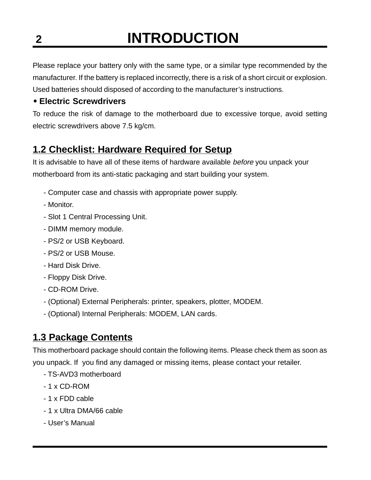# **2 INTRODUCTION**

Please replace your battery only with the same type, or a similar type recommended by the manufacturer. If the battery is replaced incorrectly, there is a risk of a short circuit or explosion. Used batteries should disposed of according to the manufacturer's instructions.

### • **Electric Screwdrivers**

To reduce the risk of damage to the motherboard due to excessive torque, avoid setting electric screwdrivers above 7.5 kg/cm.

### **1.2 Checklist: Hardware Required for Setup**

It is advisable to have all of these items of hardware available before you unpack your motherboard from its anti-static packaging and start building your system.

- Computer case and chassis with appropriate power supply.
- Monitor.
- Slot 1 Central Processing Unit.
- DIMM memory module.
- PS/2 or USB Keyboard.
- PS/2 or USB Mouse.
- Hard Disk Drive.
- Floppy Disk Drive.
- CD-ROM Drive.
- (Optional) External Peripherals: printer, speakers, plotter, MODEM.
- (Optional) Internal Peripherals: MODEM, LAN cards.

### **1.3 Package Contents**

This motherboard package should contain the following items. Please check them as soon as you unpack. If you find any damaged or missing items, please contact your retailer.

- TS-AVD3 motherboard
- 1 x CD-ROM
- 1 x FDD cable
- 1 x Ultra DMA/66 cable
- User's Manual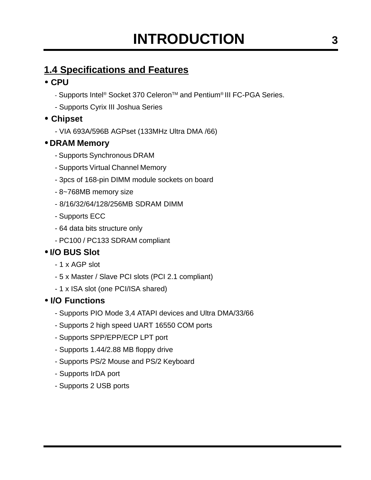### **1.4 Specifications and Features**

### • **CPU**

- Supports Intel<sup>®</sup> Socket 370 Celeron<sup>™</sup> and Pentium<sup>®</sup> III FC-PGA Series.
- Supports Cyrix III Joshua Series

### • **Chipset**

- VIA 693A/596B AGPset (133MHz Ultra DMA /66)

### • **DRAM Memory**

- Supports Synchronous DRAM
- Supports Virtual Channel Memory
- 3pcs of 168-pin DIMM module sockets on board
- 8~768MB memory size
- 8/16/32/64/128/256MB SDRAM DIMM
- Supports ECC
- 64 data bits structure only
- PC100 / PC133 SDRAM compliant

### • **I/O BUS Slot**

- 1 x AGP slot
- 5 x Master / Slave PCI slots (PCI 2.1 compliant)
- 1 x ISA slot (one PCI/ISA shared)

### • **I/O Functions**

- Supports PIO Mode 3,4 ATAPI devices and Ultra DMA/33/66
- Supports 2 high speed UART 16550 COM ports
- Supports SPP/EPP/ECP LPT port
- Supports 1.44/2.88 MB floppy drive
- Supports PS/2 Mouse and PS/2 Keyboard
- Supports IrDA port
- Supports 2 USB ports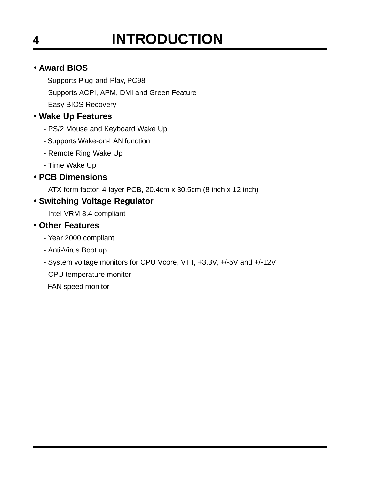# **4 INTRODUCTION**

### • **Award BIOS**

- Supports Plug-and-Play, PC98
- Supports ACPI, APM, DMI and Green Feature
- Easy BIOS Recovery

### • **Wake Up Features**

- PS/2 Mouse and Keyboard Wake Up
- Supports Wake-on-LAN function
- Remote Ring Wake Up
- Time Wake Up

### • **PCB Dimensions**

- ATX form factor, 4-layer PCB, 20.4cm x 30.5cm (8 inch x 12 inch)

### • **Switching Voltage Regulator**

- Intel VRM 8.4 compliant

### • **Other Features**

- Year 2000 compliant
- Anti-Virus Boot up
- System voltage monitors for CPU Vcore, VTT, +3.3V, +/-5V and +/-12V
- CPU temperature monitor
- FAN speed monitor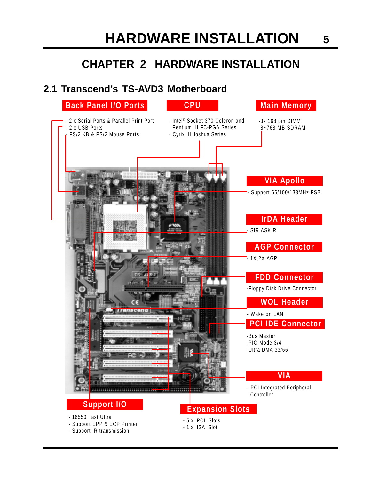## **CHAPTER 2 HARDWARE INSTALLATION**

### **2.1 Transcend's TS-AVD3 Motherboard**

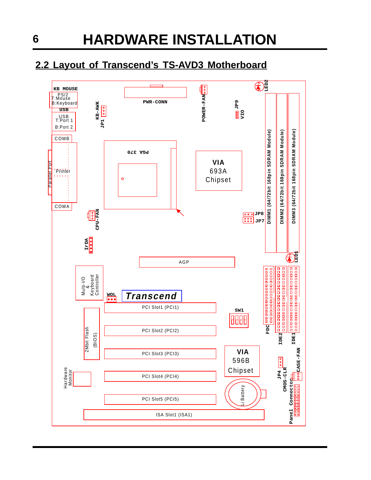### **2.2 Layout of Transcend's TS-AVD3 Motherboard**

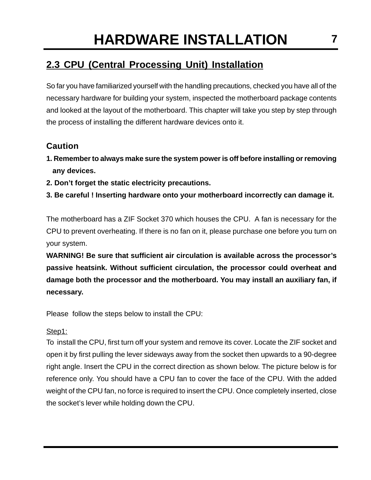### **2.3 CPU (Central Processing Unit) Installation**

So far you have familiarized yourself with the handling precautions, checked you have all of the necessary hardware for building your system, inspected the motherboard package contents and looked at the layout of the motherboard. This chapter will take you step by step through the process of installing the different hardware devices onto it.

### **Caution**

- **1. Remember to always make sure the system power is off before installing or removing any devices.**
- **2. Don't forget the static electricity precautions.**
- **3. Be careful ! Inserting hardware onto your motherboard incorrectly can damage it.**

The motherboard has a ZIF Socket 370 which houses the CPU. A fan is necessary for the CPU to prevent overheating. If there is no fan on it, please purchase one before you turn on your system.

**WARNING! Be sure that sufficient air circulation is available across the processor's passive heatsink. Without sufficient circulation, the processor could overheat and damage both the processor and the motherboard. You may install an auxiliary fan, if necessary.**

Please follow the steps below to install the CPU:

### Step1:

To install the CPU, first turn off your system and remove its cover. Locate the ZIF socket and open it by first pulling the lever sideways away from the socket then upwards to a 90-degree right angle. Insert the CPU in the correct direction as shown below. The picture below is for reference only. You should have a CPU fan to cover the face of the CPU. With the added weight of the CPU fan, no force is required to insert the CPU. Once completely inserted, close the socket's lever while holding down the CPU.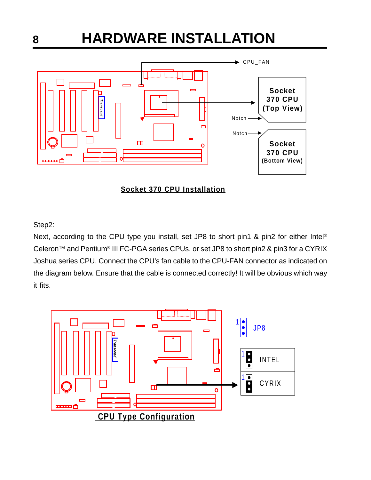



#### Step2:

Next, according to the CPU type you install, set JP8 to short pin1 & pin2 for either Intel<sup>®</sup> Celeron™ and Pentium® III FC-PGA series CPUs, or set JP8 to short pin2 & pin3 for a CYRIX Joshua series CPU. Connect the CPU's fan cable to the CPU-FAN connector as indicated on the diagram below. Ensure that the cable is connected correctly! It will be obvious which way it fits.

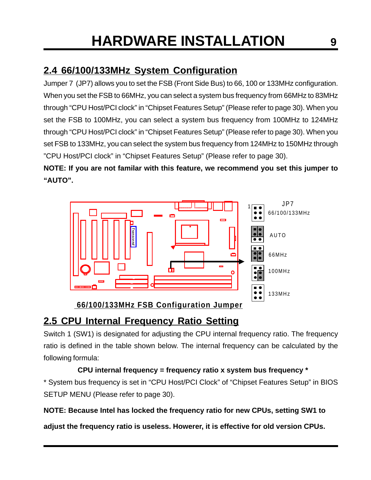### **2.4 66/100/133MHz System Configuration**

Jumper 7 (JP7) allows you to set the FSB (Front Side Bus) to 66, 100 or 133MHz configuration. When you set the FSB to 66MHz, you can select a system bus frequency from 66MHz to 83MHz through "CPU Host/PCI clock" in "Chipset Features Setup" (Please refer to page 30). When you set the FSB to 100MHz, you can select a system bus frequency from 100MHz to 124MHz through "CPU Host/PCI clock" in "Chipset Features Setup" (Please refer to page 30). When you set FSB to 133MHz, you can select the system bus frequency from 124MHz to 150MHz through "CPU Host/PCI clock" in "Chipset Features Setup" (Please refer to page 30).

**NOTE: If you are not familar with this feature, we recommend you set this jumper to "AUTO".**



## **2.5 CPU Internal Frequency Ratio Setting**

Switch 1 (SW1) is designated for adjusting the CPU internal frequency ratio. The frequency ratio is defined in the table shown below. The internal frequency can be calculated by the following formula:

### **CPU internal frequency = frequency ratio x system bus frequency \***

\* System bus frequency is set in "CPU Host/PCI Clock" of "Chipset Features Setup" in BIOS SETUP MENU (Please refer to page 30).

### **NOTE: Because Intel has locked the frequency ratio for new CPUs, setting SW1 to**

**adjust the frequency ratio is useless. Howerer, it is effective for old version CPUs.**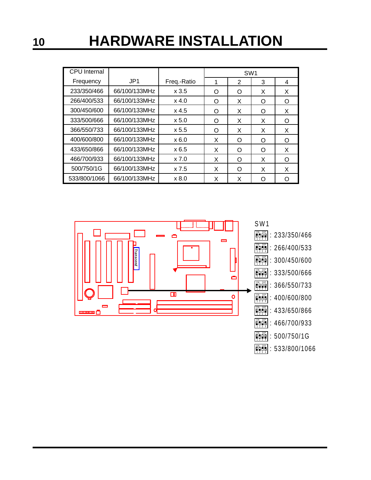| <b>CPU</b> Internal |                 |             |   | SW <sub>1</sub> |   |   |
|---------------------|-----------------|-------------|---|-----------------|---|---|
| Frequency           | JP <sub>1</sub> | Freq.-Ratio | 1 | $\overline{2}$  | 3 | 4 |
| 233/350/466         | 66/100/133MHz   | x3.5        | O | O               | X | X |
| 266/400/533         | 66/100/133MHz   | $x$ 4.0     | O | X               | O | O |
| 300/450/600         | 66/100/133MHz   | $x$ 4.5     | Ω | X               | O | X |
| 333/500/666         | 66/100/133MHz   | x 5.0       | Ω | X               | X | Ω |
| 366/550/733         | 66/100/133MHz   | x 5.5       | Ω | X               | X | X |
| 400/600/800         | 66/100/133MHz   | x6.0        | X | O               | O | O |
| 433/650/866         | 66/100/133MHz   | x6.5        | X | Ω               | O | X |
| 466/700/933         | 66/100/133MHz   | x 7.0       | X | Ω               | X | O |
| 500/750/1G          | 66/100/133MHz   | x 7.5       | X | Ω               | X | X |
| 533/800/1066        | 66/100/133MHz   | x8.0        | X | X               | Ω |   |



 $|\ddot{\psi}|\ddot{\psi}|\ddot{\psi}|: 533/800/1066$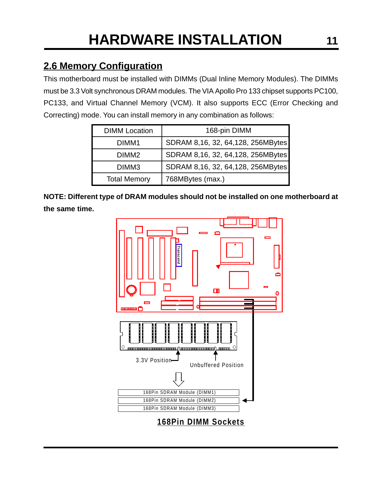### **2.6 Memory Configuration**

This motherboard must be installed with DIMMs (Dual Inline Memory Modules). The DIMMs must be 3.3 Volt synchronous DRAM modules. The VIA Apollo Pro 133 chipset supports PC100, PC133, and Virtual Channel Memory (VCM). It also supports ECC (Error Checking and Correcting) mode. You can install memory in any combination as follows:

| <b>DIMM</b> Location | 168-pin DIMM                      |
|----------------------|-----------------------------------|
| DIMM1                | SDRAM 8,16, 32, 64,128, 256MBytes |
| DIMM <sub>2</sub>    | SDRAM 8,16, 32, 64,128, 256MBytes |
| DIMM <sub>3</sub>    | SDRAM 8,16, 32, 64,128, 256MBytes |
| <b>Total Memory</b>  | 768MBytes (max.)                  |

**NOTE: Different type of DRAM modules should not be installed on one motherboard at the same time.**

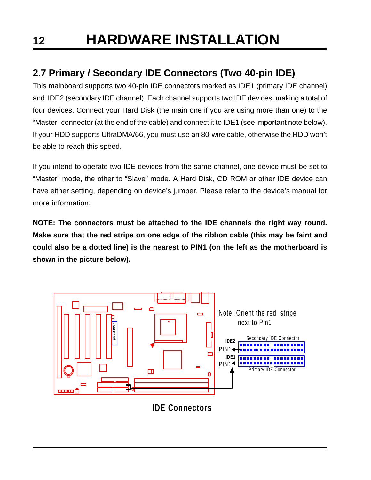### **2.7 Primary / Secondary IDE Connectors (Two 40-pin IDE)**

This mainboard supports two 40-pin IDE connectors marked as IDE1 (primary IDE channel) and IDE2 (secondary IDE channel). Each channel supports two IDE devices, making a total of four devices. Connect your Hard Disk (the main one if you are using more than one) to the "Master" connector (at the end of the cable) and connect it to IDE1 (see important note below). If your HDD supports UltraDMA/66, you must use an 80-wire cable, otherwise the HDD won't be able to reach this speed.

If you intend to operate two IDE devices from the same channel, one device must be set to "Master" mode, the other to "Slave" mode. A Hard Disk, CD ROM or other IDE device can have either setting, depending on device's jumper. Please refer to the device's manual for more information.

**NOTE: The connectors must be attached to the IDE channels the right way round. Make sure that the red stripe on one edge of the ribbon cable (this may be faint and could also be a dotted line) is the nearest to PIN1 (on the left as the motherboard is shown in the picture below).**

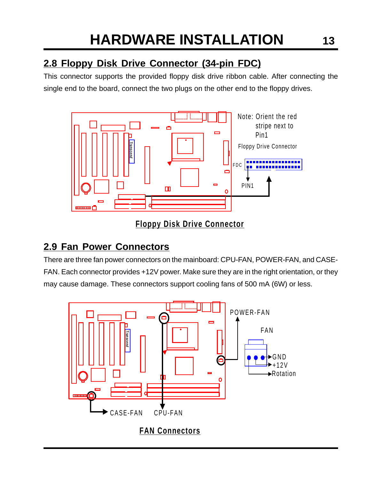### **2.8 Floppy Disk Drive Connector (34-pin FDC)**

This connector supports the provided floppy disk drive ribbon cable. After connecting the single end to the board, connect the two plugs on the other end to the floppy drives.



### **Floppy Disk Drive Connector**

### **2.9 Fan Power Connectors**

There are three fan power connectors on the mainboard: CPU-FAN, POWER-FAN, and CASE-FAN. Each connector provides +12V power. Make sure they are in the right orientation, or they may cause damage. These connectors support cooling fans of 500 mA (6W) or less.

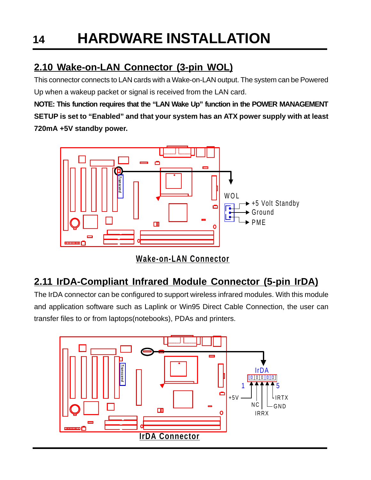### **2.10 Wake-on-LAN Connector (3-pin WOL)**

This connector connects to LAN cards with a Wake-on-LAN output. The system can be Powered Up when a wakeup packet or signal is received from the LAN card.

**NOTE: This function requires that the "LAN Wake Up" function in the POWER MANAGEMENT SETUP is set to "Enabled" and that your system has an ATX power supply with at least 720mA +5V standby power.**



**Wake-on-LAN Connector**

## **2.11 IrDA-Compliant Infrared Module Connector (5-pin IrDA)**

The IrDA connector can be configured to support wireless infrared modules. With this module and application software such as Laplink or Win95 Direct Cable Connection, the user can transfer files to or from laptops(notebooks), PDAs and printers.

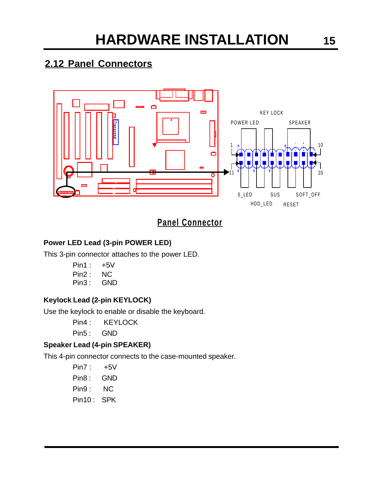### **2.12 Panel Connectors**



### **Panel Connector**

### **Power LED Lead (3-pin POWER LED)**

This 3-pin connector attaches to the power LED.

- Pin1 : +5V
- Pin2 : NC
- Pin3 : GND

### **Keylock Lead (2-pin KEYLOCK)**

Use the keylock to enable or disable the keyboard.

- Pin4 : KEYLOCK
- Pin5: GND

### **Speaker Lead (4-pin SPEAKER)**

This 4-pin connector connects to the case-mounted speaker.

- Pin7 : +5V
- Pin8: GND
- Pin9 : NC
- Pin10: SPK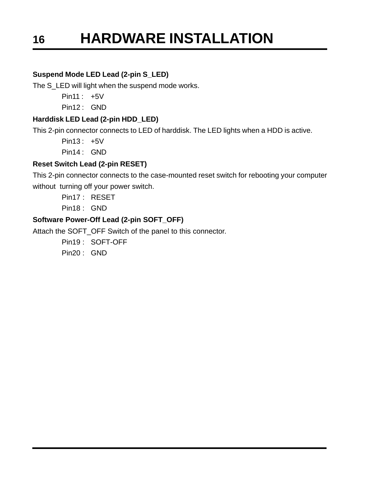#### **Suspend Mode LED Lead (2-pin S\_LED)**

The S\_LED will light when the suspend mode works.

Pin11 : +5V

Pin12 : GND

#### **Harddisk LED Lead (2-pin HDD\_LED)**

This 2-pin connector connects to LED of harddisk. The LED lights when a HDD is active.

Pin13 : +5V

Pin14 : GND

#### **Reset Switch Lead (2-pin RESET)**

This 2-pin connector connects to the case-mounted reset switch for rebooting your computer without turning off your power switch.

Pin17 : RESET

Pin18 : GND

### **Software Power-Off Lead (2-pin SOFT\_OFF)**

Attach the SOFT\_OFF Switch of the panel to this connector.

Pin19 : SOFT-OFF

Pin20 : GND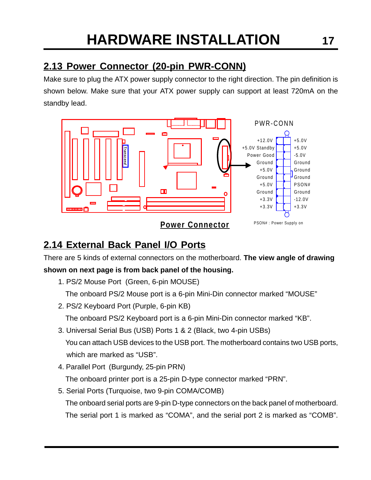### **2.13 Power Connector (20-pin PWR-CONN)**

Make sure to plug the ATX power supply connector to the right direction. The pin definition is shown below. Make sure that your ATX power supply can support at least 720mA on the standby lead.



### **2.14 External Back Panel I/O Ports**

There are 5 kinds of external connectors on the motherboard. **The view angle of drawing**

### **shown on next page is from back panel of the housing.**

- 1. PS/2 Mouse Port (Green, 6-pin MOUSE) The onboard PS/2 Mouse port is a 6-pin Mini-Din connector marked "MOUSE"
- 2. PS/2 Keyboard Port (Purple, 6-pin KB) The onboard PS/2 Keyboard port is a 6-pin Mini-Din connector marked "KB".
- 3. Universal Serial Bus (USB) Ports 1 & 2 (Black, two 4-pin USBs) You can attach USB devices to the USB port. The motherboard contains two USB ports, which are marked as "USB".
- 4. Parallel Port (Burgundy, 25-pin PRN)

The onboard printer port is a 25-pin D-type connector marked "PRN".

5. Serial Ports (Turquoise, two 9-pin COMA/COMB)

The onboard serial ports are 9-pin D-type connectors on the back panel of motherboard. The serial port 1 is marked as "COMA", and the serial port 2 is marked as "COMB".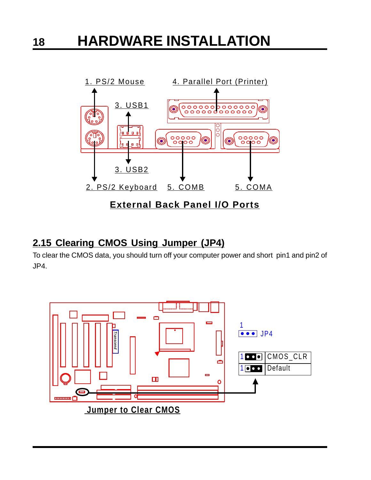

### **2.15 Clearing CMOS Using Jumper (JP4)**

To clear the CMOS data, you should turn off your computer power and short pin1 and pin2 of JP4.

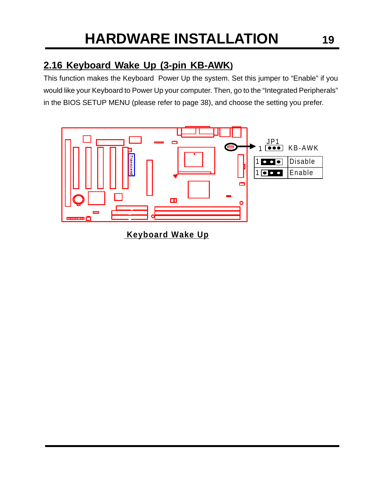### **2.16 Keyboard Wake Up (3-pin KB-AWK)**

This function makes the Keyboard Power Up the system. Set this jumper to "Enable" if you would like your Keyboard to Power Up your computer. Then, go to the "Integrated Peripherals" in the BIOS SETUP MENU (please refer to page 38), and choose the setting you prefer.



 **Keyboard Wake Up**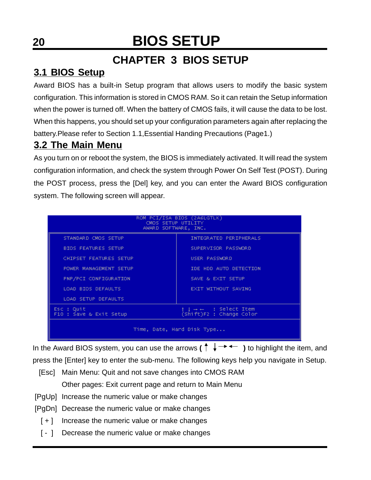## **CHAPTER 3 BIOS SETUP**

### **3.1 BIOS Setup**

Award BIOS has a built-in Setup program that allows users to modify the basic system configuration. This information is stored in CMOS RAM. So it can retain the Setup information when the power is turned off. When the battery of CMOS fails, it will cause the data to be lost. When this happens, you should set up your configuration parameters again after replacing the battery.Please refer to Section 1.1,Essential Handing Precautions (Page1.)

### **3.2 The Main Menu**

As you turn on or reboot the system, the BIOS is immediately activated. It will read the system configuration information, and check the system through Power On Self Test (POST). During the POST process, press the [Del] key, and you can enter the Award BIOS configuration system. The following screen will appear.

| ROM PCI/ISA BIOS (2A6LGTLK)<br>CMOS SETUP UTILITY<br>AWARD SOFTWARE, INC. |                                                     |  |  |  |
|---------------------------------------------------------------------------|-----------------------------------------------------|--|--|--|
| STANDARD CMOS SETUP                                                       | INTEGRATED PERIPHERALS                              |  |  |  |
| <b>BIOS FEATURES SETUP</b>                                                | SUPERVISOR PASSWORD                                 |  |  |  |
| CHIPSET FEATURES SETUP                                                    | USER PASSWORD                                       |  |  |  |
| POWER MANAGEMENT SETUP                                                    | IDE HDD AUTO DETECTION                              |  |  |  |
| PNP/PCI CONFIGURATION                                                     | SAVE & EXIT SETUP                                   |  |  |  |
| LOAD BIOS DEFAULTS                                                        | EXIT WITHOUT SAVING                                 |  |  |  |
| <b>LOAD SETUP DEFAULTS</b>                                                |                                                     |  |  |  |
| Esc : Quit<br>F10 : Save & Exit Setup                                     | † 1 → ←   : Select Item<br>(Shift)F2 : Change Color |  |  |  |
| Time, Date, Hard Disk Type                                                |                                                     |  |  |  |

In the Award BIOS system, you can use the arrows  $(\uparrow \downarrow \rightarrow \leftarrow \rightarrow \uparrow$  to highlight the item, and press the [Enter] key to enter the sub-menu. The following keys help you navigate in Setup.

- [Esc] Main Menu: Quit and not save changes into CMOS RAM Other pages: Exit current page and return to Main Menu
- [PgUp] Increase the numeric value or make changes
- [PgDn] Decrease the numeric value or make changes
	- [ + ] Increase the numeric value or make changes
	- [ ] Decrease the numeric value or make changes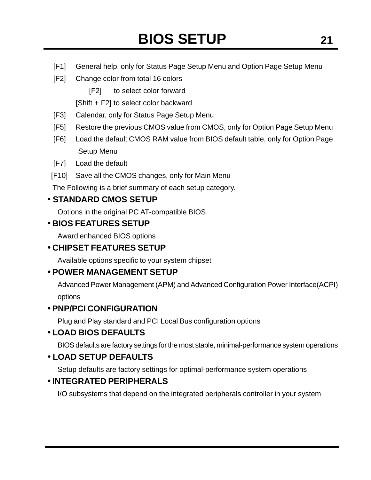- [F1] General help, only for Status Page Setup Menu and Option Page Setup Menu
- [F2] Change color from total 16 colors

[F2] to select color forward

[Shift + F2] to select color backward

- [F3] Calendar, only for Status Page Setup Menu
- [F5] Restore the previous CMOS value from CMOS, only for Option Page Setup Menu
- [F6] Load the default CMOS RAM value from BIOS default table, only for Option Page Setup Menu
- [F7] Load the default
- [F10] Save all the CMOS changes, only for Main Menu

The Following is a brief summary of each setup category.

### • **STANDARD CMOS SETUP**

Options in the original PC AT-compatible BIOS

### • **BIOS FEATURES SETUP**

Award enhanced BIOS options

### • **CHIPSET FEATURES SETUP**

Available options specific to your system chipset

### • **POWER MANAGEMENT SETUP**

Advanced Power Management (APM) and Advanced Configuration Power Interface(ACPI) options

### • **PNP/PCI CONFIGURATION**

Plug and Play standard and PCI Local Bus configuration options

### • **LOAD BIOS DEFAULTS**

BIOS defaults are factory settings for the most stable, minimal-performance system operations

### • **LOAD SETUP DEFAULTS**

Setup defaults are factory settings for optimal-performance system operations

### • **INTEGRATED PERIPHERALS**

I/O subsystems that depend on the integrated peripherals controller in your system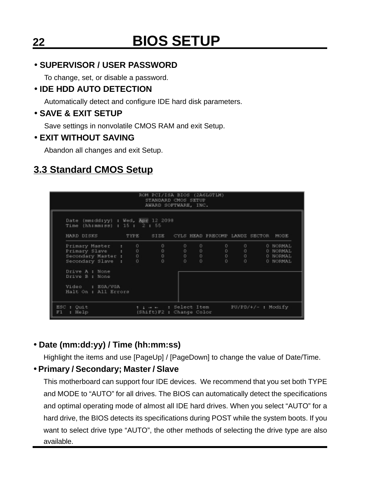### • **SUPERVISOR / USER PASSWORD**

To change, set, or disable a password.

### • **IDE HDD AUTO DETECTION**

Automatically detect and configure IDE hard disk parameters.

### • **SAVE & EXIT SETUP**

Save settings in nonvolatile CMOS RAM and exit Setup.

### • **EXIT WITHOUT SAVING**

Abandon all changes and exit Setup.

### **3.3 Standard CMOS Setup**

| ROM PCI/ISA BIOS (2A6LGTLM)<br>STANDARD CMOS SETUP<br>AWARD SOFTWARE, INC.                                                                      |  |                                                                   |             |              |                                          |                                                                     |                                        |                                              |
|-------------------------------------------------------------------------------------------------------------------------------------------------|--|-------------------------------------------------------------------|-------------|--------------|------------------------------------------|---------------------------------------------------------------------|----------------------------------------|----------------------------------------------|
| Date (mm:dd:yy) : Wed, Apr 12 2098<br>Time (hh:nm:ss) : $15$ : $2$ : $55$<br>HARD DISKS TYPE                                                    |  |                                                                   |             |              | SIZE CYLS HEAD PRECOMP LANDZ SECTOR MODE |                                                                     |                                        |                                              |
| Primary Master : 0<br>Primary Slave : 0<br>Secondary Master : 0<br>Secondary Slave : 0<br>Secondary Slave :<br>Drive A : None<br>Drive B : None |  | $0 \qquad \qquad$<br>$0 \qquad \qquad$<br>$0 \qquad \qquad$<br>Ũ. | 0<br>0<br>O | 0<br>$\circ$ | $0 \qquad \qquad$<br>Ũ.                  | $0 \qquad \qquad$<br>$0 \qquad \qquad$<br>$0 \qquad 0 \qquad$<br>O. | $0 \qquad \qquad$<br>$0 \qquad \qquad$ | 0 NORMAL<br>0 NORMAL<br>O NORMAL<br>0 NORMAL |
| Video : EGA/VGA<br>Halt On : All Errors<br>ESC : Quit<br>: Help<br>F1                                                                           |  | t i = = = : Select Item<br>(Shift)F2 : Change Color               |             |              |                                          |                                                                     | PU/PD/+/- : Modify                     |                                              |

### • **Date (mm:dd:yy) / Time (hh:mm:ss)**

Highlight the items and use [PageUp] / [PageDown] to change the value of Date/Time.

### • **Primary / Secondary; Master / Slave**

This motherboard can support four IDE devices. We recommend that you set both TYPE and MODE to "AUTO" for all drives. The BIOS can automatically detect the specifications and optimal operating mode of almost all IDE hard drives. When you select "AUTO" for a hard drive, the BIOS detects its specifications during POST while the system boots. If you want to select drive type "AUTO", the other methods of selecting the drive type are also available.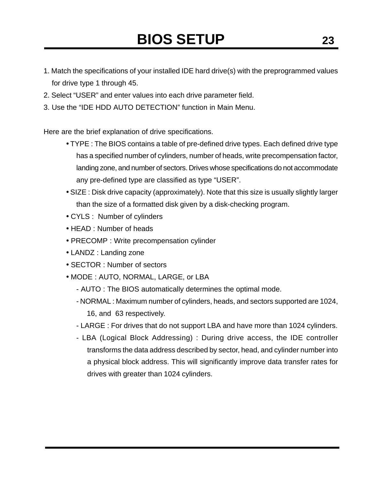- 1. Match the specifications of your installed IDE hard drive(s) with the preprogrammed values for drive type 1 through 45.
- 2. Select "USER" and enter values into each drive parameter field.
- 3. Use the "IDE HDD AUTO DETECTION" function in Main Menu.

Here are the brief explanation of drive specifications.

- TYPE : The BIOS contains a table of pre-defined drive types. Each defined drive type has a specified number of cylinders, number of heads, write precompensation factor, landing zone, and number of sectors. Drives whose specifications do not accommodate any pre-defined type are classified as type "USER".
- SIZE : Disk drive capacity (approximately). Note that this size is usually slightly larger than the size of a formatted disk given by a disk-checking program.
- CYLS : Number of cylinders
- HEAD : Number of heads
- PRECOMP : Write precompensation cylinder
- LANDZ : Landing zone
- SECTOR : Number of sectors
- MODE : AUTO, NORMAL, LARGE, or LBA
	- AUTO : The BIOS automatically determines the optimal mode.
	- NORMAL : Maximum number of cylinders, heads, and sectors supported are 1024, 16, and 63 respectively.
	- LARGE : For drives that do not support LBA and have more than 1024 cylinders.
	- LBA (Logical Block Addressing) : During drive access, the IDE controller transforms the data address described by sector, head, and cylinder number into a physical block address. This will significantly improve data transfer rates for drives with greater than 1024 cylinders.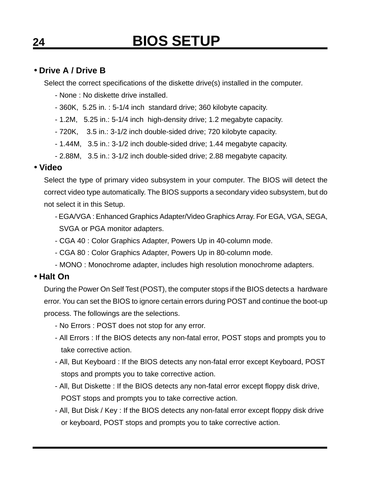### • **Drive A / Drive B**

Select the correct specifications of the diskette drive(s) installed in the computer.

- None : No diskette drive installed.
- 360K, 5.25 in. : 5-1/4 inch standard drive; 360 kilobyte capacity.
- 1.2M, 5.25 in.: 5-1/4 inch high-density drive; 1.2 megabyte capacity.
- 720K, 3.5 in.: 3-1/2 inch double-sided drive; 720 kilobyte capacity.
- 1.44M, 3.5 in.: 3-1/2 inch double-sided drive; 1.44 megabyte capacity.
- 2.88M, 3.5 in.: 3-1/2 inch double-sided drive; 2.88 megabyte capacity.

### • **Video**

Select the type of primary video subsystem in your computer. The BIOS will detect the correct video type automatically. The BIOS supports a secondary video subsystem, but do not select it in this Setup.

- EGA/VGA : Enhanced Graphics Adapter/Video Graphics Array. For EGA, VGA, SEGA, SVGA or PGA monitor adapters.
- CGA 40 : Color Graphics Adapter, Powers Up in 40-column mode.
- CGA 80 : Color Graphics Adapter, Powers Up in 80-column mode.
- MONO : Monochrome adapter, includes high resolution monochrome adapters.

### • **Halt On**

During the Power On Self Test (POST), the computer stops if the BIOS detects a hardware error. You can set the BIOS to ignore certain errors during POST and continue the boot-up process. The followings are the selections.

- No Errors : POST does not stop for any error.
- All Errors : If the BIOS detects any non-fatal error, POST stops and prompts you to take corrective action.
- All, But Keyboard : If the BIOS detects any non-fatal error except Keyboard, POST stops and prompts you to take corrective action.
- All, But Diskette : If the BIOS detects any non-fatal error except floppy disk drive, POST stops and prompts you to take corrective action.
- All, But Disk / Key : If the BIOS detects any non-fatal error except floppy disk drive or keyboard, POST stops and prompts you to take corrective action.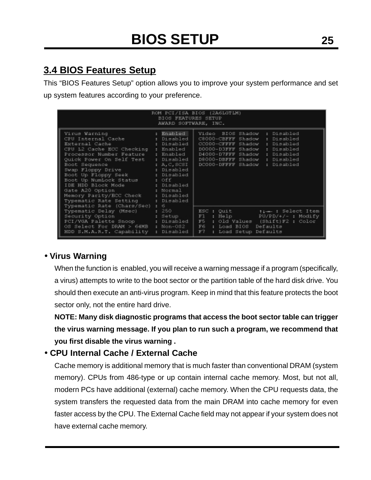### **3.4 BIOS Features Setup**

This "BIOS Features Setup" option allows you to improve your system performance and set up system features according to your preference.

|                                                                                                                                                                                                                                                                                                                                                                                                         | BIOS FEATURES SETUP<br>AWARD SOFTWARE, INC.                                                                                            | ROM PCI/ISA BIOS (2A6LGTLM)                                                                                                                                                                                                                             |
|---------------------------------------------------------------------------------------------------------------------------------------------------------------------------------------------------------------------------------------------------------------------------------------------------------------------------------------------------------------------------------------------------------|----------------------------------------------------------------------------------------------------------------------------------------|---------------------------------------------------------------------------------------------------------------------------------------------------------------------------------------------------------------------------------------------------------|
| Virus Warning<br>CPU Internal Cache<br>External Cache<br>CPU L2 Cache ECC Checking : Enabled<br>Processor Number Feature<br>Quick Power On Self Test<br>Boot Sequence<br>Swap Floppy Drive : Disabled<br>Boot Up Floppy Seek . Disabled<br>Boot Up NumLock Status : Off<br>IDE HDD Block Mode<br>Gate A20 Option<br>Memory Parity/ECC Check<br>Typematic Rate Setting<br>Typematic Rate (Chars/Sec) : 6 | : Enabled<br>: Disabled<br>: Disabled<br>: Enabled<br>: Disabled<br>: $A, C, SCST$<br>: Disabled<br>s Normal<br>: Disabled<br>Disabled | Video BIOS Shadow<br>: Disabled<br>C8000-CBFFF Shadow<br>: Disabled<br>CC000-CFFFF Shadow<br>: Disabled<br>D0000-D3FFF Shadow<br>: Disabled<br>D4000-D7FFF Shadow<br>: Disabled<br>D8000-DBFFF Shadow<br>: Disabled<br>DC000-DFFFF Shadow<br>: Disabled |
| Typematic Delay (Msec)<br>Security Option Security<br>PCI/VGA Palette Snoop<br>OS Select For DRAM > 64MB : Non-OS2<br>HDD S.M.A.R.T. Capability                                                                                                                                                                                                                                                         | 250<br>×.<br>: Setup<br>: Disabled  <br>: Disabled                                                                                     | ESC : Quit<br>time : Select Item<br>F1.<br>$PU/PD/*/-$ : Modify<br>: Help III<br>F5 : Old Values (Shift)F2 : Color<br>F6<br>Defaults<br>: Load BIOS<br>F7<br>: Load Setup Defaults                                                                      |

### • **Virus Warning**

When the function is enabled, you will receive a warning message if a program (specifically, a virus) attempts to write to the boot sector or the partition table of the hard disk drive. You should then execute an anti-virus program. Keep in mind that this feature protects the boot sector only, not the entire hard drive.

**NOTE: Many disk diagnostic programs that access the boot sector table can trigger the virus warning message. If you plan to run such a program, we recommend that you first disable the virus warning .**

### • **CPU Internal Cache / External Cache**

Cache memory is additional memory that is much faster than conventional DRAM (system memory). CPUs from 486-type or up contain internal cache memory. Most, but not all, modern PCs have additional (external) cache memory. When the CPU requests data, the system transfers the requested data from the main DRAM into cache memory for even faster access by the CPU. The External Cache field may not appear if your system does not have external cache memory.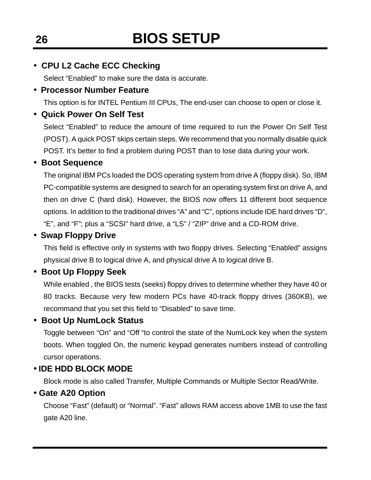### • **CPU L2 Cache ECC Checking**

Select "Enabled" to make sure the data is accurate.

### • **Processor Number Feature**

This option is for INTEL Pentium III CPUs, The end-user can choose to open or close it.

### • **Quick Power On Self Test**

Select "Enabled" to reduce the amount of time required to run the Power On Self Test (POST). A quick POST skips certain steps. We recommend that you normally disable quick POST. It's better to find a problem during POST than to lose data during your work.

### • **Boot Sequence**

The original IBM PCs loaded the DOS operating system from drive A (floppy disk). So, IBM PC-compatible systems are designed to search for an operating system first on drive A, and then on drive C (hard disk). However, the BIOS now offers 11 different boot sequence options. In addition to the traditional drives "A" and "C", options include IDE hard drives "D", "E", and "F"; plus a "SCSI" hard drive, a "LS" / "ZIP" drive and a CD-ROM drive.

### • **Swap Floppy Drive**

This field is effective only in systems with two floppy drives. Selecting "Enabled" assigns physical drive B to logical drive A, and physical drive A to logical drive B.

### • **Boot Up Floppy Seek**

While enabled , the BIOS tests (seeks) floppy drives to determine whether they have 40 or 80 tracks. Because very few modern PCs have 40-track floppy drives (360KB), we recommand that you set this field to "Disabled" to save time.

### • **Boot Up NumLock Status**

Toggle between "On" and "Off "to control the state of the NumLock key when the system boots. When toggled On, the numeric keypad generates numbers instead of controlling cursor operations.

### • **IDE HDD BLOCK MODE**

Block mode is also called Transfer, Multiple Commands or Multiple Sector Read/Write.

### • **Gate A20 Option**

Choose "Fast" (default) or "Normal". "Fast" allows RAM access above 1MB to use the fast gate A20 line.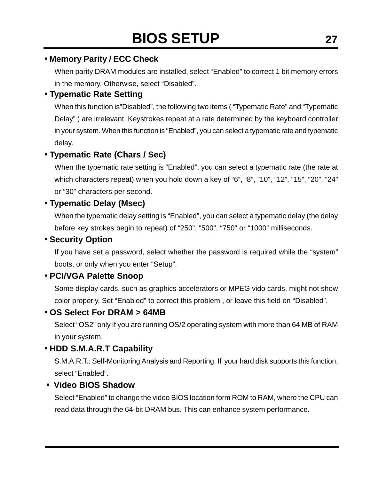### • **Memory Parity / ECC Check**

When parity DRAM modules are installed, select "Enabled" to correct 1 bit memory errors in the memory. Otherwise, select "Disabled".

### • **Typematic Rate Setting**

When this function is"Disabled", the following two items ( "Typematic Rate" and "Typematic Delay" ) are irrelevant. Keystrokes repeat at a rate determined by the keyboard controller in your system. When this function is "Enabled", you can select a typematic rate and typematic delay.

### • **Typematic Rate (Chars / Sec)**

When the typematic rate setting is "Enabled", you can select a typematic rate (the rate at which characters repeat) when you hold down a key of "6", "8", "10", "12", "15", "20", "24" or "30" characters per second.

### • **Typematic Delay (Msec)**

When the typematic delay setting is "Enabled", you can select a typematic delay (the delay before key strokes begin to repeat) of "250", "500", "750" or "1000" milliseconds.

### • **Security Option**

If you have set a password, select whether the password is required while the "system" boots, or only when you enter "Setup".

### • **PCI/VGA Palette Snoop**

Some display cards, such as graphics accelerators or MPEG vido cards, might not show color properly. Set "Enabled" to correct this problem , or leave this field on "Disabled".

### • **OS Select For DRAM > 64MB**

Select "OS2" only if you are running OS/2 operating system with more than 64 MB of RAM in your system.

### • **HDD S.M.A.R.T Capability**

S.M.A.R.T.: Self-Monitoring Analysis and Reporting. If your hard disk supports this function, select "Enabled".

### • **Video BIOS Shadow**

Select "Enabled" to change the video BIOS location form ROM to RAM, where the CPU can read data through the 64-bit DRAM bus. This can enhance system performance.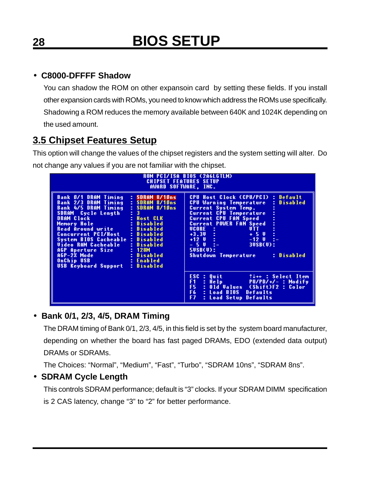### • **C8000-DFFFF Shadow**

You can shadow the ROM on other expansoin card by setting these fields. If you install other expansion cards with ROMs, you need to know which address the ROMs use specifically. Shadowing a ROM reduces the memory available between 640K and 1024K depending on the used amount.

### **3.5 Chipset Features Setup**

This option will change the values of the chipset registers and the system setting will alter. Do not change any values if you are not familiar with the chipset.

| ROM PCI/ISA BIOS (2A6LGTLM)<br><b>CHIPSET FEATURES SETUP</b><br>AWARD SOFTWARE, INC.                                                                                                                                                                                                                                                                                                                                                                                                                                                               |                                                                                                                                                                                                                                                                                                                                                                                                                           |  |  |  |  |
|----------------------------------------------------------------------------------------------------------------------------------------------------------------------------------------------------------------------------------------------------------------------------------------------------------------------------------------------------------------------------------------------------------------------------------------------------------------------------------------------------------------------------------------------------|---------------------------------------------------------------------------------------------------------------------------------------------------------------------------------------------------------------------------------------------------------------------------------------------------------------------------------------------------------------------------------------------------------------------------|--|--|--|--|
| Bank 0/1 DRAM Timing<br>: SDRAM 8/10ns<br>: SDRAM 8/10ns<br>Bank 2/3 DRAM Timing<br>Bank 4/5 DRAM Timing<br>: SDRAM 8/10ns<br>$\mathbf{1}$ $\mathbf{3}$<br>SDRAM Cycle Length<br>DRAM Clock<br>: Host CLK<br>Memory Hole<br>: Disabled<br>Read Around write <b>can</b><br>: Disabled<br>Concurrent PCI/Host -<br>: Disabled<br>System BIOS Cacheable<br>: Disabled<br><b>Video RAM Cacheable</b><br>: Disabled<br>: 128M<br>AGP Aperture Size<br>AGP-2X Mode<br>: Disabled<br>OnChip USB<br>: Enabled<br><b>USB Keyboard Support</b><br>: Disabled | CPU Host Clock (CPU/PCI) : Default<br>Disabled<br><b>CPU Warning Temperature</b><br>÷<br><b>Current System Temp.</b><br>÷<br><b>Current CPU Temperature</b><br><b>Current CPU FAN Speed</b><br><b>Current POWER FAN Speed</b><br><b>UCORE</b> :<br>UTT<br>$+3.30 - 1$<br>e<br>$+50$<br>$+12$ U $-1$<br>$-12$ U<br>÷.<br>$-50$<br>$30$ SB $(0)$ :<br>$-2-$<br>$50$ SB $(0)$ :<br>: Disabled<br><b>Shutdown Temperature</b> |  |  |  |  |
|                                                                                                                                                                                                                                                                                                                                                                                                                                                                                                                                                    | ESC.<br>Quit<br>$\uparrow \downarrow \rightarrow +$ : Select Item<br>÷<br>F1.<br>: He1p<br>PU/PD/+/- : Modify<br>F5.<br>: Old Values (Shift)F2 : Color<br>F6.<br>Defaults<br>: Load BIOS<br>F7<br>: Load Setup Defaults                                                                                                                                                                                                   |  |  |  |  |

### • **Bank 0/1, 2/3, 4/5, DRAM Timing**

The DRAM timing of Bank 0/1, 2/3, 4/5, in this field is set by the system board manufacturer, depending on whether the board has fast paged DRAMs, EDO (extended data output) DRAMs or SDRAMs.

The Choices: "Normal", "Medium", "Fast", "Turbo", "SDRAM 10ns", "SDRAM 8ns".

### • **SDRAM Cycle Length**

This controls SDRAM performance; default is "3" clocks. If your SDRAM DIMM specification is 2 CAS latency, change "3" to "2" for better performance.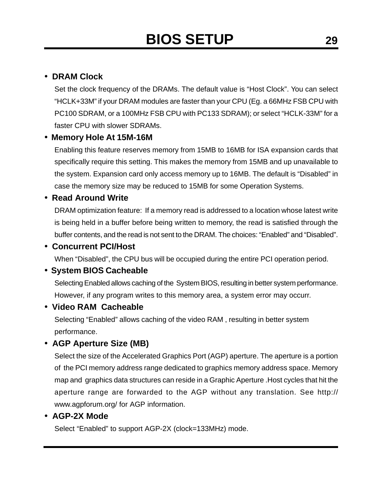### • **DRAM Clock**

Set the clock frequency of the DRAMs. The default value is "Host Clock". You can select "HCLK+33M" if your DRAM modules are faster than your CPU (Eg. a 66MHz FSB CPU with PC100 SDRAM, or a 100MHz FSB CPU with PC133 SDRAM); or select "HCLK-33M" for a faster CPU with slower SDRAMs.

### • **Memory Hole At 15M-16M**

Enabling this feature reserves memory from 15MB to 16MB for ISA expansion cards that specifically require this setting. This makes the memory from 15MB and up unavailable to the system. Expansion card only access memory up to 16MB. The default is "Disabled" in case the memory size may be reduced to 15MB for some Operation Systems.

### • **Read Around Write**

DRAM optimization feature: If a memory read is addressed to a location whose latest write is being held in a buffer before being written to memory, the read is satisfied through the buffer contents, and the read is not sent to the DRAM. The choices: "Enabled" and "Disabled".

### • **Concurrent PCI/Host**

When "Disabled", the CPU bus will be occupied during the entire PCI operation period.

### • **System BIOS Cacheable**

Selecting Enabled allows caching of the System BIOS, resulting in better system performance. However, if any program writes to this memory area, a system error may occurr.

### • **Video RAM Cacheable**

Selecting "Enabled" allows caching of the video RAM , resulting in better system performance.

### • **AGP Aperture Size (MB)**

Select the size of the Accelerated Graphics Port (AGP) aperture. The aperture is a portion of the PCI memory address range dedicated to graphics memory address space. Memory map and graphics data structures can reside in a Graphic Aperture .Host cycles that hit the aperture range are forwarded to the AGP without any translation. See http:// www.agpforum.org/ for AGP information.

#### • **AGP-2X Mode**

Select "Enabled" to support AGP-2X (clock=133MHz) mode.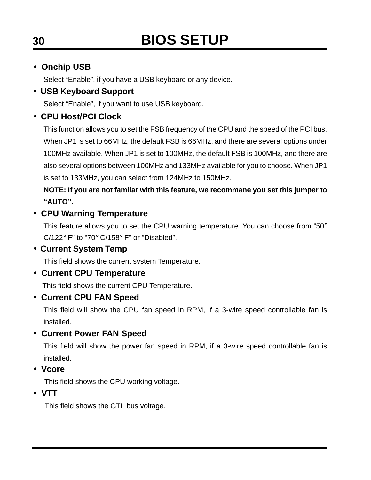### • **Onchip USB**

Select "Enable", if you have a USB keyboard or any device.

### • **USB Keyboard Support**

Select "Enable", if you want to use USB keyboard.

### • **CPU Host/PCI Clock**

This function allows you to set the FSB frequency of the CPU and the speed of the PCI bus. When JP1 is set to 66MHz, the default FSB is 66MHz, and there are several options under 100MHz available. When JP1 is set to 100MHz, the default FSB is 100MHz, and there are also several options between 100MHz and 133MHz available for you to choose. When JP1 is set to 133MHz, you can select from 124MHz to 150MHz.

### **NOTE: If you are not familar with this feature, we recommane you set this jumper to "AUTO".**

### • **CPU Warning Temperature**

This feature allows you to set the CPU warning temperature. You can choose from "50° C/122° F" to "70° C/158° F" or "Disabled".

### • **Current System Temp**

This field shows the current system Temperature.

### • **Current CPU Temperature**

This field shows the current CPU Temperature.

### • **Current CPU FAN Speed**

This field will show the CPU fan speed in RPM, if a 3-wire speed controllable fan is installed.

### • **Current Power FAN Speed**

This field will show the power fan speed in RPM, if a 3-wire speed controllable fan is installed.

### • **Vcore**

This field shows the CPU working voltage.

### • **VTT**

This field shows the GTL bus voltage.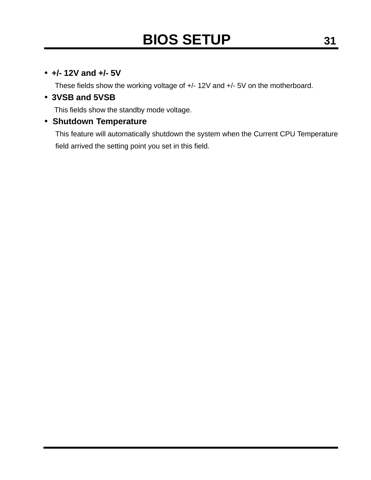### • **+/- 12V and +/- 5V**

These fields show the working voltage of +/- 12V and +/- 5V on the motherboard.

### • **3VSB and 5VSB**

This fields show the standby mode voltage.

### • **Shutdown Temperature**

This feature will automatically shutdown the system when the Current CPU Temperature field arrived the setting point you set in this field.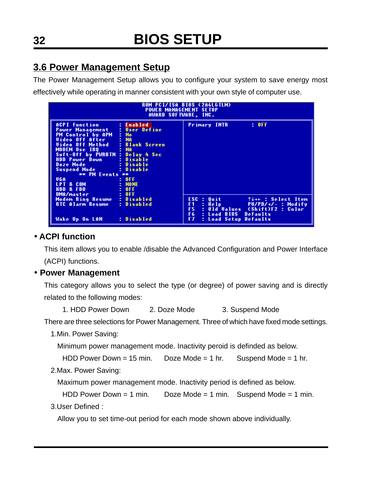### **3.6 Power Management Setup**

The Power Management Setup allows you to configure your system to save energy most effectively while operating in manner consistent with your own style of computer use.

| ROM PCI/ISA BIOS (2A6LGTLM)<br><b>POWER MANAGEMENT SETUP</b><br>AWARD SOFTWARE, INC.                                                                                                                                                                                                                                                                                                                                       |                                                                                       |                                                                                                                                                                                                         |  |  |  |  |
|----------------------------------------------------------------------------------------------------------------------------------------------------------------------------------------------------------------------------------------------------------------------------------------------------------------------------------------------------------------------------------------------------------------------------|---------------------------------------------------------------------------------------|---------------------------------------------------------------------------------------------------------------------------------------------------------------------------------------------------------|--|--|--|--|
| <b>ACPI function</b><br><b>Power Management : User Define</b><br><b>PM Control by APM</b><br>Uideo Off After - : NA<br>Uideo Off Method - : Blank Screen<br><b>MODEM Use IRO</b><br><b>Service State</b><br>Soft-Off by PWRBTN : Delay 4 Sec<br><b>HDD Power Down The Blue Books</b><br>Doze Mode : Disable<br>Suspend Mode the state of the Suspendix Mode<br>** PM Events **<br>VGA<br><b>LPT &amp; COM</b><br>HDD & FDD | : Enabled<br>$\mathbf{E}$ No.<br>: Disable<br>: Disable<br>: 0FF<br>: NOME<br>$= 0FF$ | <b>Primary INTR</b><br>: 0FF                                                                                                                                                                            |  |  |  |  |
| DMA/master<br>Modem Ring Resume : Disabled<br>RTC Alarm Resume<br>Wake Up On LAN                                                                                                                                                                                                                                                                                                                                           | 10 F<br>: Disabled<br>: Disabled                                                      | $ESC = Quit$<br>†↓→← : Select Item<br>F <sub>1</sub><br>$\mathbb{Z}$ Help<br>PU/PD/+/- : Modify<br>F5.<br>: Old Values (Shift)F2 : Color<br>F6.<br>: Load BIOS Defaults<br>F7.<br>: Load Setup Defaults |  |  |  |  |

### • **ACPI function**

This item allows you to enable /disable the Advanced Configuration and Power Interface (ACPI) functions.

### • **Power Management**

This category allows you to select the type (or degree) of power saving and is directly related to the following modes:

1. HDD Power Down 2. Doze Mode 3. Suspend Mode

There are three selections for Power Management. Three of which have fixed mode settings.

1.Min. Power Saving:

Minimum power management mode. Inactivity peroid is definded as below.

```
HDD Power Down = 15 min. Doze Mode = 1 hr. Suspend Mode = 1 hr.
```
2.Max. Power Saving:

Maximum power management mode. Inactivity period is defined as below.

```
HDD Power Down = 1 min. Doze Mode = 1 min. Suspend Mode = 1 min.
```
3.User Defined :

Allow you to set time-out period for each mode shown above individually.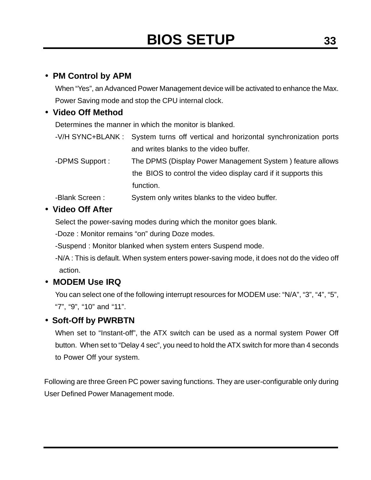### • **PM Control by APM**

When "Yes", an Advanced Power Management device will be activated to enhance the Max. Power Saving mode and stop the CPU internal clock.

### • **Video Off Method**

Determines the manner in which the monitor is blanked.

| -V/H SYNC+BLANK: System turns off vertical and horizontal synchronization ports |
|---------------------------------------------------------------------------------|
| and writes blanks to the video buffer.                                          |

-DPMS Support : The DPMS (Display Power Management System ) feature allows the BIOS to control the video display card if it supports this function.

-Blank Screen : System only writes blanks to the video buffer.

### • **Video Off After**

Select the power-saving modes during which the monitor goes blank.

-Doze : Monitor remains "on" during Doze modes.

-Suspend : Monitor blanked when system enters Suspend mode.

-N/A : This is default. When system enters power-saving mode, it does not do the video off action.

### • **MODEM Use IRQ**

You can select one of the following interrupt resources for MODEM use: "N/A", "3", "4", "5", "7", "9", "10" and "11".

### • **Soft-Off by PWRBTN**

When set to "Instant-off", the ATX switch can be used as a normal system Power Off button. When set to "Delay 4 sec", you need to hold the ATX switch for more than 4 seconds to Power Off your system.

Following are three Green PC power saving functions. They are user-configurable only during User Defined Power Management mode.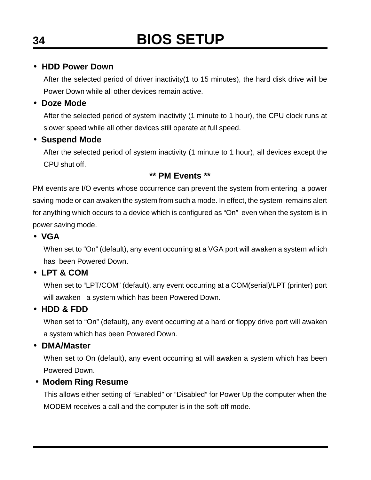#### • **HDD Power Down**

After the selected period of driver inactivity(1 to 15 minutes), the hard disk drive will be Power Down while all other devices remain active.

### • **Doze Mode**

After the selected period of system inactivity (1 minute to 1 hour), the CPU clock runs at slower speed while all other devices still operate at full speed.

### • **Suspend Mode**

After the selected period of system inactivity (1 minute to 1 hour), all devices except the CPU shut off.

### **\*\* PM Events \*\***

PM events are I/O events whose occurrence can prevent the system from entering a power saving mode or can awaken the system from such a mode. In effect, the system remains alert for anything which occurs to a device which is configured as "On" even when the system is in power saving mode.

### • **VGA**

When set to "On" (default), any event occurring at a VGA port will awaken a system which has been Powered Down.

### • **LPT & COM**

When set to "LPT/COM" (default), any event occurring at a COM(serial)/LPT (printer) port will awaken a system which has been Powered Down.

### • **HDD & FDD**

When set to "On" (default), any event occurring at a hard or floppy drive port will awaken a system which has been Powered Down.

### • **DMA/Master**

When set to On (default), any event occurring at will awaken a system which has been Powered Down.

### • **Modem Ring Resume**

This allows either setting of "Enabled" or "Disabled" for Power Up the computer when the MODEM receives a call and the computer is in the soft-off mode.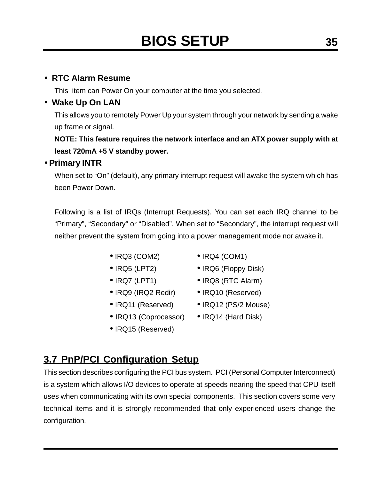### • **RTC Alarm Resume**

This item can Power On your computer at the time you selected.

### • **Wake Up On LAN**

This allows you to remotely Power Up your system through your network by sending a wake up frame or signal.

**NOTE: This feature requires the network interface and an ATX power supply with at least 720mA +5 V standby power.**

#### • **Primary INTR**

When set to "On" (default), any primary interrupt request will awake the system which has been Power Down.

Following is a list of IRQs (Interrupt Requests). You can set each IRQ channel to be "Primary", "Secondary" or "Disabled". When set to "Secondary", the interrupt request will neither prevent the system from going into a power management mode nor awake it.

- 
- 
- 
- IRQ9 (IRQ2 Redir) IRQ10 (Reserved)
- 
- IRQ13 (Coprocessor) IRQ14 (Hard Disk)
- IRQ15 (Reserved)
- $\bullet$  IRQ3 (COM2)  $\bullet$  IRQ4 (COM1)
- IRQ5 (LPT2) IRQ6 (Floppy Disk)
- IRQ7 (LPT1) IRQ8 (RTC Alarm)
	-
- IRQ11 (Reserved) IRQ12 (PS/2 Mouse)
	-

### **3.7 PnP/PCI Configuration Setup**

This section describes configuring the PCI bus system. PCI (Personal Computer Interconnect) is a system which allows I/O devices to operate at speeds nearing the speed that CPU itself uses when communicating with its own special components. This section covers some very technical items and it is strongly recommended that only experienced users change the configuration.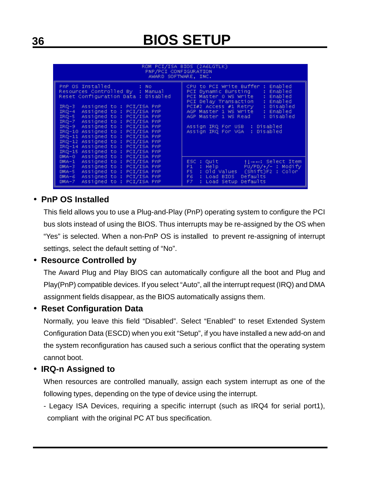| ROM PCI/ISA BIOS (2A6LGTLK)<br>PNP/PCI CONFIGURATION<br>AWARD SOFTWARE, INC.                                                                                                                                                                                                                                                                                                                                                                                                                                                      |                                                                                                                                                                                                                                                                                                                                        |  |  |  |
|-----------------------------------------------------------------------------------------------------------------------------------------------------------------------------------------------------------------------------------------------------------------------------------------------------------------------------------------------------------------------------------------------------------------------------------------------------------------------------------------------------------------------------------|----------------------------------------------------------------------------------------------------------------------------------------------------------------------------------------------------------------------------------------------------------------------------------------------------------------------------------------|--|--|--|
| PnP OS Installed<br>: No<br>Resources Controlled By : Manual<br>Reset Configuration Data : Disabled<br>Assigned to: PCI/ISA PnP<br>$IRQ-3$<br>Assigned to : PCI/ISA PnP<br>$IRQ-4$<br>Assigned to : PCI/ISA PnP<br>$IRQ-5$<br>Assigned to: PCI/ISA PnP<br>$IRQ-7$<br>Assigned to: PCI/ISA PnP<br>$IRQ-9$<br>IRQ-10 Assigned to: PCI/ISA PnP<br>IRQ-11 Assigned to: PCI/ISA PnP<br>IRQ-12 Assigned to: PCI/ISA PnP<br>IRQ-14 Assigned to: PCI/ISA PnP<br>IRQ-15 Assigned to : PCI/ISA PnP<br>Assigned to: PCI/ISA PnP<br>$DMA = 0$ | CPU to PCI Write Buffer: Enabled<br>PCI Dynamic Bursting<br>: Enabled<br>PCI Master O WS Write<br>: Enabled<br>: Enabled<br>PCI Delay Transaction<br>PCI#2 Access #1 Retry<br>: Disabled<br>AGP Master 1 WS Write<br>: Enabled<br>: Disabled<br>AGP Master 1 WS Read<br>Assign IRQ For USB : Disabled<br>Assign IRQ For VGA : Disabled |  |  |  |
| Assigned to: PCI/ISA PnP<br>$DMA-1$<br>Assigned to : PCI/ISA PnP<br>$DMA-3$<br>Assigned to: PCI/ISA PnP<br>$DMA-5$<br>Assigned to : PCI/ISA PnP<br>$DMA-6$<br>Assigned to : PCI/ISA PnP<br>$DMA - 7$                                                                                                                                                                                                                                                                                                                              | $ESC$ : Quit<br>$+1 \rightarrow -1$ : Select Item<br>$\therefore$ Help $PU/PD/+/-$ : Modify<br>F1<br>: Old Values (Shift)F2 : Color<br>F5 -<br>FG<br>: Load BIOS<br>Defaults<br>Defaults<br>: Load Setup<br>FZ.                                                                                                                        |  |  |  |

### • **PnP OS Installed**

This field allows you to use a Plug-and-Play (PnP) operating system to configure the PCI bus slots instead of using the BIOS. Thus interrupts may be re-assigned by the OS when "Yes" is selected. When a non-PnP OS is installed to prevent re-assigning of interrupt settings, select the default setting of "No".

### • **Resource Controlled by**

The Award Plug and Play BIOS can automatically configure all the boot and Plug and Play(PnP) compatible devices. If you select "Auto", all the interrupt request (IRQ) and DMA assignment fields disappear, as the BIOS automatically assigns them.

### • **Reset Configuration Data**

Normally, you leave this field "Disabled". Select "Enabled" to reset Extended System Configuration Data (ESCD) when you exit "Setup", if you have installed a new add-on and the system reconfiguration has caused such a serious conflict that the operating system cannot boot.

### • **IRQ-n Assigned to**

When resources are controlled manually, assign each system interrupt as one of the following types, depending on the type of device using the interrupt.

- Legacy ISA Devices, requiring a specific interrupt (such as IRQ4 for serial port1), compliant with the original PC AT bus specification.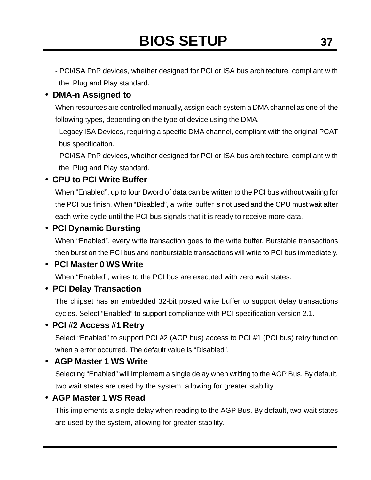- PCI/ISA PnP devices, whether designed for PCI or ISA bus architecture, compliant with the Plug and Play standard.

### • **DMA-n Assigned to**

When resources are controlled manually, assign each system a DMA channel as one of the following types, depending on the type of device using the DMA.

- Legacy ISA Devices, requiring a specific DMA channel, compliant with the original PCAT bus specification.
- PCI/ISA PnP devices, whether designed for PCI or ISA bus architecture, compliant with the Plug and Play standard.

### • **CPU to PCI Write Buffer**

When "Enabled", up to four Dword of data can be written to the PCI bus without waiting for the PCI bus finish. When "Disabled", a write buffer is not used and the CPU must wait after each write cycle until the PCI bus signals that it is ready to receive more data.

### • **PCI Dynamic Bursting**

When "Enabled", every write transaction goes to the write buffer. Burstable transactions then burst on the PCI bus and nonburstable transactions will write to PCI bus immediately.

### • **PCI Master 0 WS Write**

When "Enabled", writes to the PCI bus are executed with zero wait states.

### • **PCI Delay Transaction**

The chipset has an embedded 32-bit posted write buffer to support delay transactions cycles. Select "Enabled" to support compliance with PCI specification version 2.1.

### • **PCI #2 Access #1 Retry**

Select "Enabled" to support PCI #2 (AGP bus) access to PCI #1 (PCI bus) retry function when a error occurred. The default value is "Disabled".

### • **AGP Master 1 WS Write**

Selecting "Enabled" will implement a single delay when writing to the AGP Bus. By default, two wait states are used by the system, allowing for greater stability.

### • **AGP Master 1 WS Read**

This implements a single delay when reading to the AGP Bus. By default, two-wait states are used by the system, allowing for greater stability.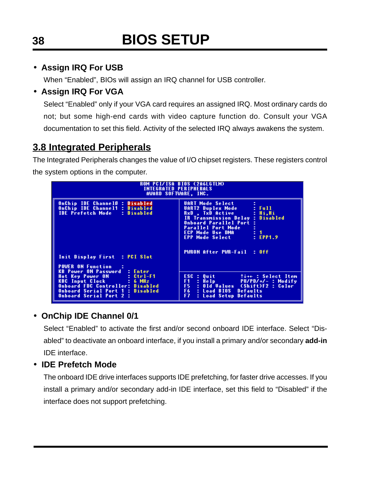### • **Assign IRQ For USB**

When "Enabled", BIOs will assign an IRQ channel for USB controller.

### • **Assign IRQ For VGA**

Select "Enabled" only if your VGA card requires an assigned IRQ. Most ordinary cards do not; but some high-end cards with video capture function do. Consult your VGA documentation to set this field. Activity of the selected IRQ always awakens the system.

### **3.8 Integrated Peripherals**

The Integrated Peripherals changes the value of I/O chipset registers. These registers control the system options in the computer.

| <b>INTEGRATED PERIPHERALS</b><br>AWARD SOFTWARE, INC.                                                                                                           | ROM PCI/ISA BIOS (2A6LGTLM)                                                                                                                                                                                                                                     |
|-----------------------------------------------------------------------------------------------------------------------------------------------------------------|-----------------------------------------------------------------------------------------------------------------------------------------------------------------------------------------------------------------------------------------------------------------|
| OnChip IDE ChannelO : Disabled<br>OnChip IDE Channel1 : Disabled<br><b>IDE Prefetch Mode</b><br>: Disabled                                                      | <b>UART Mode Select</b><br>$E$ Full<br>UART2 Duplex Mode<br>RxD . TxD Active<br>: Hi.Hi<br>: Disabled<br>IR Transmission Delay<br><b>Onboard Parallel Port</b><br><b>Parallel Port Mode</b><br>÷.<br>ECP Mode Use DMA = : 1<br><b>EPP Mode Select</b><br>EPP1.9 |
| Init Display First : PCI Slot<br><b>POWER ON Function</b><br><b>KB Power ON Password : Enter</b>                                                                | PWRON After PWR-Fail : Off                                                                                                                                                                                                                                      |
| Hot Key Power ON : Ctrl-F1<br><b>KBC</b> Input Clock : 6 MHz<br>Onboard FDC Controller: Disabled<br>Onboard Serial Port 1 : Disabled<br>Onboard Serial Port 2 : | ESC : Ouit that : Select Item<br>F1 : Help PU/PD/+/- : Modify<br>F5 : Old Values (Shift)F2 : Color<br>F6 : Load BIOS Defaults<br><b>F7</b> : Load Setup Defaults                                                                                                |

### • **OnChip IDE Channel 0/1**

Select "Enabled" to activate the first and/or second onboard IDE interface. Select "Disabled" to deactivate an onboard interface, if you install a primary and/or secondary **add-in** IDE interface.

### • **IDE Prefetch Mode**

The onboard IDE drive interfaces supports IDE prefetching, for faster drive accesses. If you install a primary and/or secondary add-in IDE interface, set this field to "Disabled" if the interface does not support prefetching.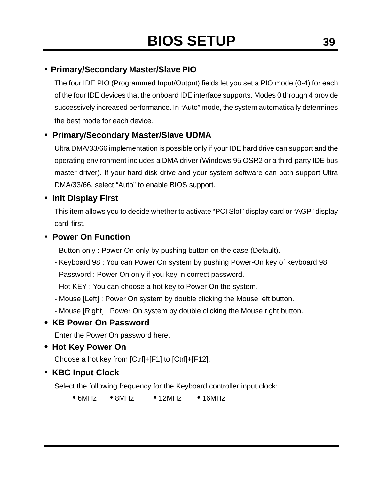### • **Primary/Secondary Master/Slave PIO**

The four IDE PIO (Programmed Input/Output) fields let you set a PIO mode (0-4) for each of the four IDE devices that the onboard IDE interface supports. Modes 0 through 4 provide successively increased performance. In "Auto" mode, the system automatically determines the best mode for each device.

### • **Primary/Secondary Master/Slave UDMA**

Ultra DMA/33/66 implementation is possible only if your IDE hard drive can support and the operating environment includes a DMA driver (Windows 95 OSR2 or a third-party IDE bus master driver). If your hard disk drive and your system software can both support Ultra DMA/33/66, select "Auto" to enable BIOS support.

### • **Init Display First**

This item allows you to decide whether to activate "PCI Slot" display card or "AGP" display card first.

#### • **Power On Function**

- Button only : Power On only by pushing button on the case (Default).
- Keyboard 98 : You can Power On system by pushing Power-On key of keyboard 98.
- Password : Power On only if you key in correct password.
- Hot KEY : You can choose a hot key to Power On the system.
- Mouse [Left] : Power On system by double clicking the Mouse left button.
- Mouse [Right] : Power On system by double clicking the Mouse right button.

### • **KB Power On Password**

Enter the Power On password here.

• **Hot Key Power On**

Choose a hot key from [Ctrl]+[F1] to [Ctrl]+[F12].

• **KBC Input Clock**

Select the following frequency for the Keyboard controller input clock:

 $\bullet$  6MHz  $\bullet$  8MHz  $\bullet$  12MHz  $\bullet$  16MHz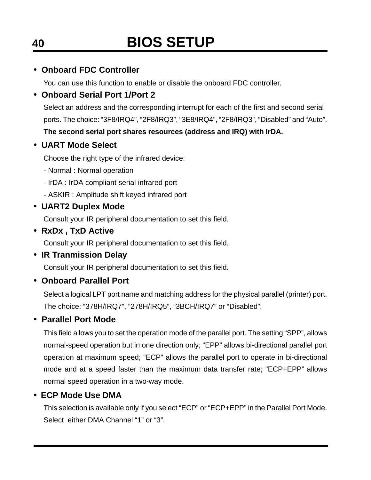### • **Onboard FDC Controller**

You can use this function to enable or disable the onboard FDC controller.

### • **Onboard Serial Port 1/Port 2**

Select an address and the corresponding interrupt for each of the first and second serial ports. The choice: "3F8/IRQ4", "2F8/IRQ3", "3E8/IRQ4", "2F8/IRQ3", "Disabled" and "Auto". **The second serial port shares resources (address and IRQ) with IrDA.**

### • **UART Mode Select**

Choose the right type of the infrared device:

- Normal : Normal operation
- IrDA : IrDA compliant serial infrared port
- ASKIR : Amplitude shift keyed infrared port

### • **UART2 Duplex Mode**

Consult your IR peripheral documentation to set this field.

• **RxDx , TxD Active**

Consult your IR peripheral documentation to set this field.

• **IR Tranmission Delay**

Consult your IR peripheral documentation to set this field.

• **Onboard Parallel Port**

Select a logical LPT port name and matching address for the physical parallel (printer) port. The choice: "378H/IRQ7", "278H/IRQ5", "3BCH/IRQ7" or "Disabled".

### • **Parallel Port Mode**

This field allows you to set the operation mode of the parallel port. The setting "SPP", allows normal-speed operation but in one direction only; "EPP" allows bi-directional parallel port operation at maximum speed; "ECP" allows the parallel port to operate in bi-directional mode and at a speed faster than the maximum data transfer rate; "ECP+EPP" allows normal speed operation in a two-way mode.

### • **ECP Mode Use DMA**

This selection is available only if you select "ECP" or "ECP+EPP" in the Parallel Port Mode. Select either DMA Channel "1" or "3".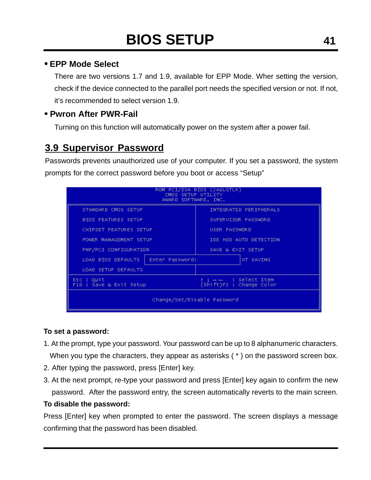### • **EPP Mode Select**

There are two versions 1.7 and 1.9, available for EPP Mode. Wher setting the version, check if the device connected to the parallel port needs the specified version or not. If not, it's recommended to select version 1.9.

### • **Pwron After PWR-Fail**

Turning on this function will automatically power on the system after a power fail.

### **3.9 Supervisor Password**

Passwords prevents unauthorized use of your computer. If you set a password, the system prompts for the correct password before you boot or access "Setup"

| ROM PCI/ISA BIOS (2A6LGTLK)<br>CMOS SETUP UTILITY<br>AWARD SOFTWARE, INC. |                 |                                                            |                        |
|---------------------------------------------------------------------------|-----------------|------------------------------------------------------------|------------------------|
| STANDARD CMOS SETUP                                                       |                 |                                                            | INTEGRATED PERIPHERALS |
| <b>BIOS FEATURES SETUP</b>                                                |                 |                                                            | SUPERVISOR PASSWORD    |
| CHIPSET FEATURES SETUP                                                    |                 | USER PASSWORD                                              |                        |
| POWER MANAGEMENT SETUP                                                    |                 |                                                            | IDE HDD AUTO DETECTION |
| PNP/PCI CONFIGURATION                                                     |                 | SAVE & EXIT SETUP                                          |                        |
| LOAD BIOS DEFAULTS                                                        | Enter Password: |                                                            | UT SAVING              |
| <b>LOAD SETUP DEFAULTS</b>                                                |                 |                                                            |                        |
| Esc : Quit<br>F10 : Save & Exit Setup                                     |                 | $1 + \leftarrow$ : Select Item<br>(Shift)F2 : Change Color |                        |
| Change/Set/Disable Password                                               |                 |                                                            |                        |

#### **To set a password:**

- 1. At the prompt, type your password. Your password can be up to 8 alphanumeric characters. When you type the characters, they appear as asterisks (\*) on the password screen box.
- 2. After typing the password, press [Enter] key.
- 3. At the next prompt, re-type your password and press [Enter] key again to confirm the new password. After the password entry, the screen automatically reverts to the main screen.

#### **To disable the password:**

Press [Enter] key when prompted to enter the password. The screen displays a message confirming that the password has been disabled.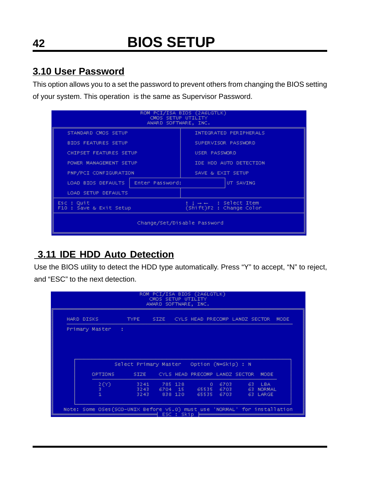### **3.10 User Password**

This option allows you to a set the password to prevent others from changing the BIOS setting of your system. This operation is the same as Supervisor Password.

| ROM PCI/ISA BIOS (2A6LGTLK)<br>CMOS SETUP UTILITY<br>AWARD SOFTWARE, INC. |                        |                                                            |                        |
|---------------------------------------------------------------------------|------------------------|------------------------------------------------------------|------------------------|
| STANDARD CMOS SETUP                                                       |                        |                                                            | INTEGRATED PERIPHERALS |
| <b>BIOS FEATURES SETUP</b>                                                |                        |                                                            | SUPERVISOR PASSWORD    |
| CHIPSET FEATURES SETUP                                                    |                        | USER PASSWORD                                              |                        |
|                                                                           | POWER MANAGEMENT SETUP |                                                            | IDE HDD AUTO DETECTION |
| PNP/PCI CONFIGURATION                                                     |                        | SAVE & EXIT SETUP                                          |                        |
| LOAD BIOS DEFAULTS                                                        | Enter Password:        |                                                            | UT SAVING              |
| <b>LOAD SETUP DEFAULTS</b>                                                |                        |                                                            |                        |
| Esc : Quit<br>F10 : Save & Exit Setup                                     |                        | $1 + \leftarrow$ : Select Item<br>(Shift)F2 : Change Color |                        |
| Change/Set/Disable Password                                               |                        |                                                            |                        |

### **3.11 IDE HDD Auto Detection**

Use the BIOS utility to detect the HDD type automatically. Press "Y" to accept, "N" to reject, and "ESC" to the next detection.

|                  | HARD DISKS . TYPE . SIZE . CYLS HEAD PRECOMP LANDZ SECTOR MODE |  |                                          |  |                     |  |
|------------------|----------------------------------------------------------------|--|------------------------------------------|--|---------------------|--|
|                  |                                                                |  |                                          |  |                     |  |
| Primary Master : |                                                                |  |                                          |  |                     |  |
|                  |                                                                |  |                                          |  |                     |  |
|                  |                                                                |  |                                          |  |                     |  |
|                  |                                                                |  |                                          |  |                     |  |
|                  |                                                                |  |                                          |  |                     |  |
|                  | Select Primary Master Option (N=Skip) : N                      |  |                                          |  |                     |  |
|                  |                                                                |  |                                          |  |                     |  |
| OPTIONS          |                                                                |  | SIZE CYLS HEAD PRECOMP LANDZ SECTOR MODE |  |                     |  |
|                  |                                                                |  |                                          |  |                     |  |
| 3.               | $2(Y)$ 3241 785 128 0 6703<br>3243 6704 15 65535 6703          |  |                                          |  | 63 LBA<br>63 NORMAL |  |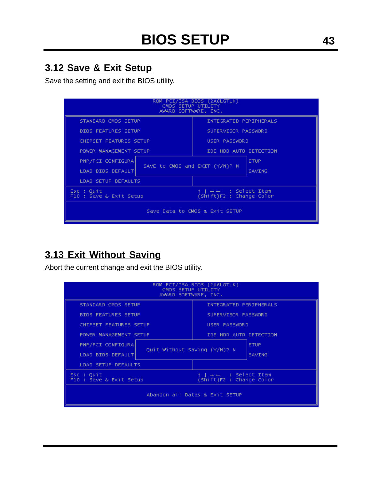### **3.12 Save & Exit Setup**

Save the setting and exit the BIOS utility.

| ROM PCI/ISA BIOS (2A6LGTLK)<br>CMOS SETUP UTILITY<br>AWARD SOFTWARE, INC. |                                                            |  |
|---------------------------------------------------------------------------|------------------------------------------------------------|--|
| STANDARD CMOS SETUP                                                       | INTEGRATED PERIPHERALS                                     |  |
| <b>BIOS FEATURES SETUP</b>                                                | SUPERVISOR PASSWORD                                        |  |
| CHIPSET FEATURES SETUP                                                    | USER PASSWORD                                              |  |
| POWER MANAGEMENT SETUP                                                    | IDE HDD AUTO DETECTION                                     |  |
| PNP/PCI CONFIGURA<br>SAVE to CMOS and EXIT (Y/N)? N<br>LOAD BIOS DEFAULT  | <b>ETUP</b><br><b>SAVING</b>                               |  |
| <b>LOAD SETUP DEFAULTS</b>                                                |                                                            |  |
| Esc : Quit<br>F10 : Save & Exit Setup                                     | $1 + \leftarrow$ : Select Item<br>(Shift)F2 : Change Color |  |
| Save Data to CMOS & Exit SETUP                                            |                                                            |  |

### **3.13 Exit Without Saving**

Abort the current change and exit the BIOS utility.

| ROM PCI/ISA BIOS (2A6LGTLK)<br>CMOS SETUP UTILITY<br>AWARD SOFTWARE, INC.                                                                                                                                     |                                                                                                                   |  |
|---------------------------------------------------------------------------------------------------------------------------------------------------------------------------------------------------------------|-------------------------------------------------------------------------------------------------------------------|--|
| STANDARD CMOS SETUP<br><b>BIOS FEATURES SETUP</b><br>CHIPSET FEATURES SETUP<br>POWER MANAGEMENT SETUP<br>PNP/PCI CONFIGURA<br>Quit Without Saving (Y/N)? N<br>LOAD BIOS DEFAULT<br><b>LOAD SETUP DEFAULTS</b> | INTEGRATED PERIPHERALS<br>SUPERVISOR PASSWORD<br>USER PASSWORD<br>IDE HDD AUTO DETECTION<br><b>ETUP</b><br>SAVING |  |
| Esc : Quit<br>F10 : Save & Exit Setup                                                                                                                                                                         | $1 + \leftarrow$ : Select Item<br>(Shift)F2 : Change Color<br>Abandon all Datas & Exit SETUP                      |  |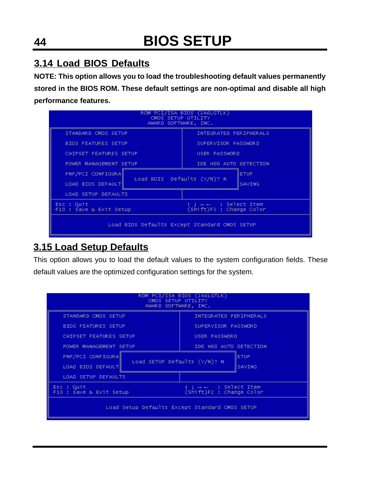### **3.14 Load BIOS Defaults**

**NOTE: This option allows you to load the troubleshooting default values permanently stored in the BIOS ROM. These default settings are non-optimal and disable all high performance features.**

| ROM PCI/ISA BIOS (2A6LGTLK)<br>CMOS SETUP UTILITY<br>AWARD SOFTWARE, INC. |                                                            |  |
|---------------------------------------------------------------------------|------------------------------------------------------------|--|
| STANDARD CMOS SETUP                                                       | INTEGRATED PERIPHERALS                                     |  |
| <b>BIOS FEATURES SETUP</b>                                                | SUPERVISOR PASSWORD                                        |  |
| CHIPSET FEATURES SETUP                                                    | USER PASSWORD                                              |  |
| POWER MANAGEMENT SETUP                                                    | IDE HDD AUTO DETECTION                                     |  |
| PNP/PCI CONFIGURA<br>Load BOIS Defaults (Y/N)? N<br>LOAD BIOS DEFAULT     | <b>ETUP</b><br><b>SAVING</b>                               |  |
| <b>LOAD SETUP DEFAULTS</b>                                                |                                                            |  |
| Esc : Quit<br>F10 : Save & Exit Setup                                     | $1 + \leftarrow$ : Select Item<br>(Shift)F2 : Change Color |  |
| Load BIOS Defaults Except Standard CMOS SETUP                             |                                                            |  |

### **3.15 Load Setup Defaults**

This option allows you to load the default values to the system configuration fields. These default values are the optimized configuration settings for the system.

| ROM PCI/ISA BIOS (2A6LGTLK)<br>CMOS SETUP UTILITY<br>AWARD SOFTWARE, INC. |                                                            |  |
|---------------------------------------------------------------------------|------------------------------------------------------------|--|
| STANDARD CMOS SETUP                                                       | INTEGRATED PERIPHERALS                                     |  |
| <b>BIOS FEATURES SETUP</b>                                                | SUPERVISOR PASSWORD                                        |  |
| CHIPSET FEATURES SETUP                                                    | USER PASSWORD                                              |  |
| POWER MANAGEMENT SETUP                                                    | IDE HOD AUTO DETECTION                                     |  |
| PNP/PCI CONFIGURA<br>Load SETUP Defaults (Y/N)? N<br>LOAD BIOS DEFAULT    | <b>ETUP</b><br><b>SAVING</b>                               |  |
| LOAD SETUP DEFAULTS                                                       |                                                            |  |
| Esc : Quit<br>F10 : Save & Exit Setup                                     | $1 + \leftarrow$ : Select Item<br>(Shift)F2 : Change Color |  |
| Load Setup Defaults Except Standard CMOS SETUP                            |                                                            |  |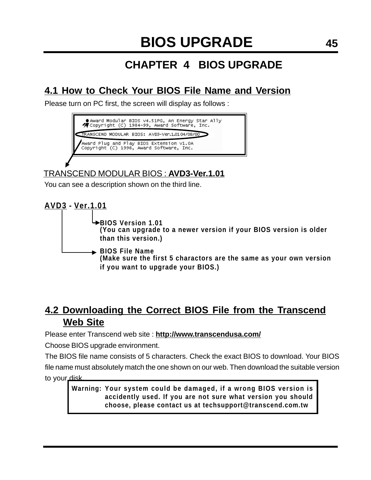## **CHAPTER 4 BIOS UPGRADE**

### **4.1 How to Check Your BIOS File Name and Version**

Please turn on PC first, the screen will display as follows :



TRANSCEND MODULAR BIOS : **AVD3-Ver.1.01**

You can see a description shown on the third line.



### **4.2 Downloading the Correct BIOS File from the Transcend Web Site**

Please enter Transcend web site : **http://www.transcendusa.com/**

Choose BIOS upgrade environment.

The BIOS file name consists of 5 characters. Check the exact BIOS to download. Your BIOS file name must absolutely match the one shown on our web. Then download the suitable version to your disk.

**Your system could be damaged, if a wrong BIOS version is Warning: accidently used. If you are not sure what version you should choose, please contact us at techsupport@transcend.com.tw**